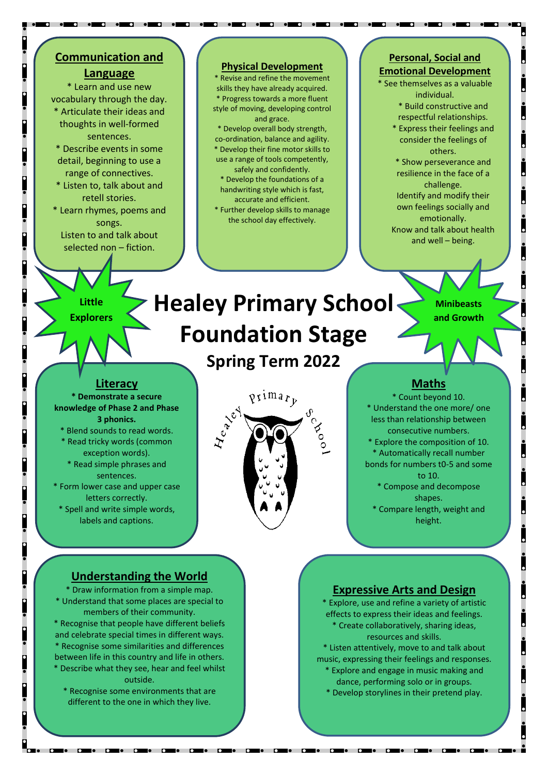## **Communication and**

#### **Language**

\* Learn and use new vocabulary through the day. \* Articulate their ideas and thoughts in well-formed sentences.

\* Describe events in some detail, beginning to use a range of connectives.

\* Listen to, talk about and retell stories.

\* Learn rhymes, poems and songs. Listen to and talk about selected non – fiction.

#### **Physical Development**

\* Revise and refine the movement skills they have already acquired. Progress towards a more fluent style of moving, developing control and grace.

\* Develop overall body strength, co-ordination, balance and agility. \* Develop their fine motor skills to use a range of tools competently, safely and confidently. \* Develop the foundations of a handwriting style which is fast,

accurate and efficient. \* Further develop skills to manage the school day effectively.

#### **Personal, Social and Emotional Development**

\* See themselves as a valuable individual. \* Build constructive and

> respectful relationships. \* Express their feelings and consider the feelings of

others. \* Show perseverance and

resilience in the face of a challenge. Identify and modify their

own feelings socially and emotionally. Know and talk about health

and well – being.

**Little Explorers**

## **Healey Primary School Foundation Stage**

**Spring Term 2022**



**Minibeasts and Growth**

#### **Literacy**

**\* Demonstrate a secure knowledge of Phase 2 and Phase 3 phonics.**

\* Blend sounds to read words.

\* Read tricky words (common exception words).

\* Read simple phrases and sentences.

\* Form lower case and upper case letters correctly.

\* Spell and write simple words, labels and captions.



. .

#### **Maths**

\* Count beyond 10. \* Understand the one more/ one less than relationship between consecutive numbers. \* Explore the composition of 10.

- \* Automatically recall number bonds for numbers t0-5 and some to 10.
	- \* Compose and decompose shapes.
	- \* Compare length, weight and height.

#### **Understanding the World**

\* Draw information from a simple map. \* Understand that some places are special to members of their community. \* Recognise that people have different beliefs and celebrate special times in different ways. \* Recognise some similarities and differences between life in this country and life in others. \* Describe what they see, hear and feel whilst outside.

\* Recognise some environments that are different to the one in which they live.

<u>ie de le dese de la poste de la poste de la poste de la poste de la poste de la poste de la poste de la poste </u>

#### **Expressive Arts and Design**

\* Explore, use and refine a variety of artistic effects to express their ideas and feelings. \* Create collaboratively, sharing ideas, resources and skills.

\* Listen attentively, move to and talk about music, expressing their feelings and responses.

- \* Explore and engage in music making and dance, performing solo or in groups.
- \* Develop storylines in their pretend play.

<u> 1960 - 1960 - 1960 - 1960 - 1960 - 1970 - 1980 - 1980 - 1980 - 1980 - 1980 - 1980 - 1980 - 1980 - 1980 - 1980 - 19</u>